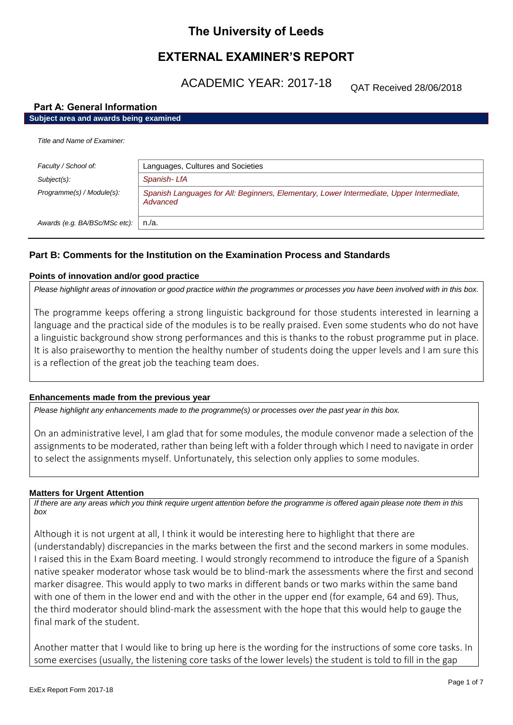# **The University of Leeds**

# **EXTERNAL EXAMINER'S REPORT**

ACADEMIC YEAR: 2017-18

QAT Received 28/06/2018

# **Part A: General Information**

# **Subject area and awards being examined**

*Title and Name of Examiner:*

| $1105$ and than $60$ Ladining. |                                                                                                       |  |
|--------------------------------|-------------------------------------------------------------------------------------------------------|--|
| Faculty / School of:           | Languages, Cultures and Societies                                                                     |  |
| Subject(s):                    | Spanish-LfA                                                                                           |  |
| Programme(s) / Module(s):      | Spanish Languages for All: Beginners, Elementary, Lower Intermediate, Upper Intermediate,<br>Advanced |  |
| Awards (e.g. BA/BSc/MSc etc):  | n./a.                                                                                                 |  |

# **Part B: Comments for the Institution on the Examination Process and Standards**

# **Points of innovation and/or good practice**

*Please highlight areas of innovation or good practice within the programmes or processes you have been involved with in this box.*

The programme keeps offering a strong linguistic background for those students interested in learning a language and the practical side of the modules is to be really praised. Even some students who do not have a linguistic background show strong performances and this is thanks to the robust programme put in place. It is also praiseworthy to mention the healthy number of students doing the upper levels and I am sure this is a reflection of the great job the teaching team does.

# **Enhancements made from the previous year**

*Please highlight any enhancements made to the programme(s) or processes over the past year in this box.*

On an administrative level, I am glad that for some modules, the module convenor made a selection of the assignments to be moderated, rather than being left with a folder through which I need to navigate in order to select the assignments myself. Unfortunately, this selection only applies to some modules.

### **Matters for Urgent Attention**

*If there are any areas which you think require urgent attention before the programme is offered again please note them in this box*

Although it is not urgent at all, I think it would be interesting here to highlight that there are (understandably) discrepancies in the marks between the first and the second markers in some modules. I raised this in the Exam Board meeting. I would strongly recommend to introduce the figure of a Spanish native speaker moderator whose task would be to blind-mark the assessments where the first and second marker disagree. This would apply to two marks in different bands or two marks within the same band with one of them in the lower end and with the other in the upper end (for example, 64 and 69). Thus, the third moderator should blind-mark the assessment with the hope that this would help to gauge the final mark of the student.

Another matter that I would like to bring up here is the wording for the instructions of some core tasks. In some exercises (usually, the listening core tasks of the lower levels) the student is told to fill in the gap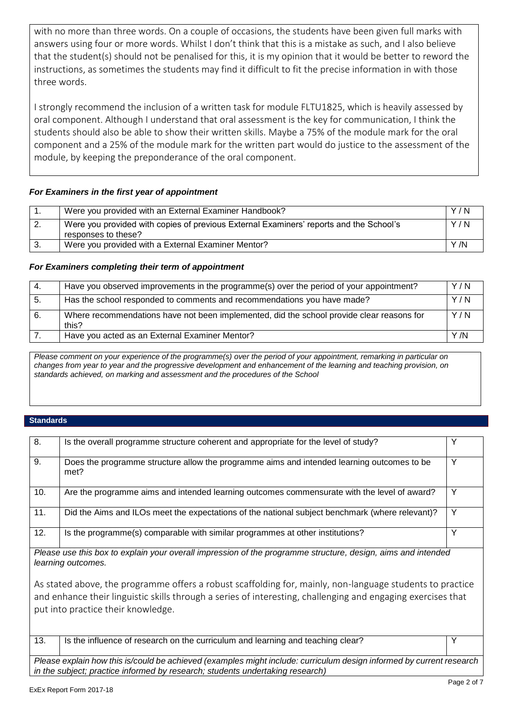with no more than three words. On a couple of occasions, the students have been given full marks with answers using four or more words. Whilst I don't think that this is a mistake as such, and I also believe that the student(s) should not be penalised for this, it is my opinion that it would be better to reword the instructions, as sometimes the students may find it difficult to fit the precise information in with those three words.

I strongly recommend the inclusion of a written task for module FLTU1825, which is heavily assessed by oral component. Although I understand that oral assessment is the key for communication, I think the students should also be able to show their written skills. Maybe a 75% of the module mark for the oral component and a 25% of the module mark for the written part would do justice to the assessment of the module, by keeping the preponderance of the oral component.

# *For Examiners in the first year of appointment*

|     | Were you provided with an External Examiner Handbook?                                                         | Y/N |
|-----|---------------------------------------------------------------------------------------------------------------|-----|
| -2. | Were you provided with copies of previous External Examiners' reports and the School's<br>responses to these? | Y/N |
|     | Were you provided with a External Examiner Mentor?                                                            | Y/N |

# *For Examiners completing their term of appointment*

| -4. | Have you observed improvements in the programme(s) over the period of your appointment?            | Y/N  |
|-----|----------------------------------------------------------------------------------------------------|------|
| 5.  | Has the school responded to comments and recommendations you have made?                            | Y/N  |
| 6.  | Where recommendations have not been implemented, did the school provide clear reasons for<br>this? | Y/N  |
|     | Have you acted as an External Examiner Mentor?                                                     | Y /N |

*Please comment on your experience of the programme(s) over the period of your appointment, remarking in particular on changes from year to year and the progressive development and enhancement of the learning and teaching provision, on standards achieved, on marking and assessment and the procedures of the School*

# **Standards**

| 8.  | Is the overall programme structure coherent and appropriate for the level of study?                |  |
|-----|----------------------------------------------------------------------------------------------------|--|
| 9.  | Does the programme structure allow the programme aims and intended learning outcomes to be<br>met? |  |
| 10. | Are the programme aims and intended learning outcomes commensurate with the level of award?        |  |
| 11. | Did the Aims and ILOs meet the expectations of the national subject benchmark (where relevant)?    |  |
| 12. | Is the programme(s) comparable with similar programmes at other institutions?                      |  |

*Please use this box to explain your overall impression of the programme structure, design, aims and intended learning outcomes.*

As stated above, the programme offers a robust scaffolding for, mainly, non-language students to practice and enhance their linguistic skills through a series of interesting, challenging and engaging exercises that put into practice their knowledge.

13. Is the influence of research on the curriculum and learning and teaching clear?

*Please explain how this is/could be achieved (examples might include: curriculum design informed by current research in the subject; practice informed by research; students undertaking research)*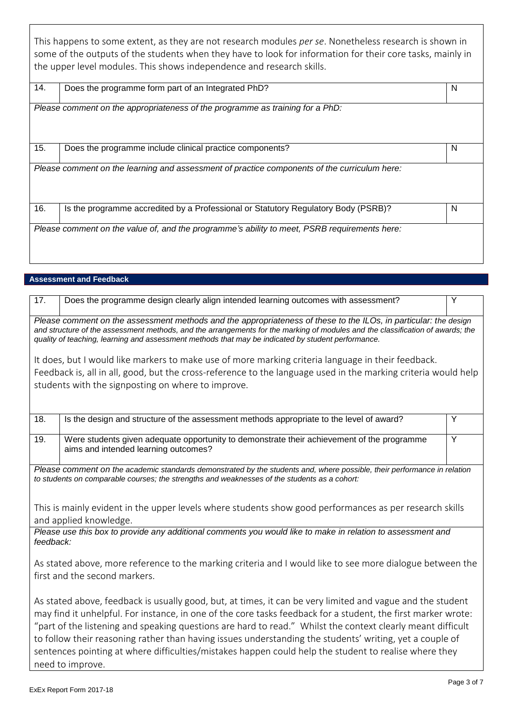This happens to some extent, as they are not research modules *per se*. Nonetheless research is shown in some of the outputs of the students when they have to look for information for their core tasks, mainly in the upper level modules. This shows independence and research skills.

| 14. | Does the programme form part of an Integrated PhD?                                           | N |
|-----|----------------------------------------------------------------------------------------------|---|
|     | Please comment on the appropriateness of the programme as training for a PhD:                |   |
| 15. | Does the programme include clinical practice components?                                     | N |
|     | Please comment on the learning and assessment of practice components of the curriculum here: |   |
| 16. | Is the programme accredited by a Professional or Statutory Regulatory Body (PSRB)?           | N |
|     | Please comment on the value of, and the programme's ability to meet, PSRB requirements here: |   |

# **Assessment and Feedback**

| 17.                                                                                                                                                                                                                                                                                                                                                                                                                                                                                                                                                                                 | Does the programme design clearly align intended learning outcomes with assessment?                                                | Y |
|-------------------------------------------------------------------------------------------------------------------------------------------------------------------------------------------------------------------------------------------------------------------------------------------------------------------------------------------------------------------------------------------------------------------------------------------------------------------------------------------------------------------------------------------------------------------------------------|------------------------------------------------------------------------------------------------------------------------------------|---|
| Please comment on the assessment methods and the appropriateness of these to the ILOs, in particular: the design<br>and structure of the assessment methods, and the arrangements for the marking of modules and the classification of awards; the<br>quality of teaching, learning and assessment methods that may be indicated by student performance.                                                                                                                                                                                                                            |                                                                                                                                    |   |
| It does, but I would like markers to make use of more marking criteria language in their feedback.<br>Feedback is, all in all, good, but the cross-reference to the language used in the marking criteria would help<br>students with the signposting on where to improve.                                                                                                                                                                                                                                                                                                          |                                                                                                                                    |   |
| 18.                                                                                                                                                                                                                                                                                                                                                                                                                                                                                                                                                                                 | Is the design and structure of the assessment methods appropriate to the level of award?                                           | Y |
| 19.                                                                                                                                                                                                                                                                                                                                                                                                                                                                                                                                                                                 | Were students given adequate opportunity to demonstrate their achievement of the programme<br>aims and intended learning outcomes? | Y |
| Please comment on the academic standards demonstrated by the students and, where possible, their performance in relation<br>to students on comparable courses; the strengths and weaknesses of the students as a cohort:                                                                                                                                                                                                                                                                                                                                                            |                                                                                                                                    |   |
| This is mainly evident in the upper levels where students show good performances as per research skills<br>and applied knowledge.                                                                                                                                                                                                                                                                                                                                                                                                                                                   |                                                                                                                                    |   |
| Please use this box to provide any additional comments you would like to make in relation to assessment and<br>feedback:                                                                                                                                                                                                                                                                                                                                                                                                                                                            |                                                                                                                                    |   |
| As stated above, more reference to the marking criteria and I would like to see more dialogue between the<br>first and the second markers.                                                                                                                                                                                                                                                                                                                                                                                                                                          |                                                                                                                                    |   |
| As stated above, feedback is usually good, but, at times, it can be very limited and vague and the student<br>may find it unhelpful. For instance, in one of the core tasks feedback for a student, the first marker wrote:<br>"part of the listening and speaking questions are hard to read." Whilst the context clearly meant difficult<br>to follow their reasoning rather than having issues understanding the students' writing, yet a couple of<br>sentences pointing at where difficulties/mistakes happen could help the student to realise where they<br>need to improve. |                                                                                                                                    |   |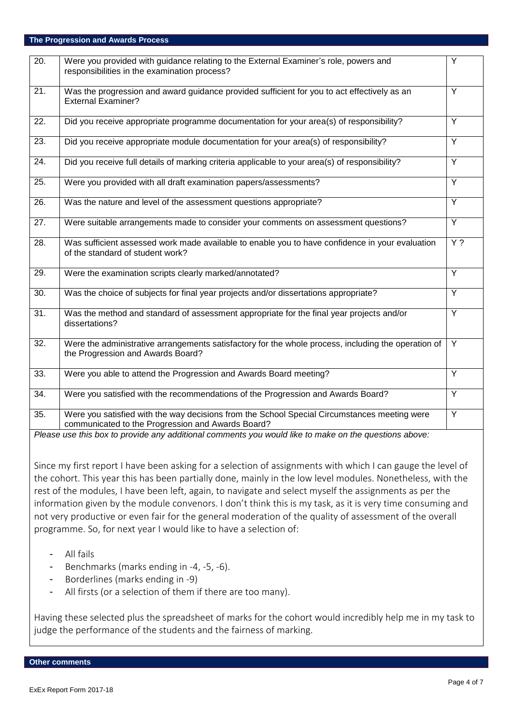# **The Progression and Awards Process**

| $\overline{20}$ . | Were you provided with guidance relating to the External Examiner's role, powers and<br>responsibilities in the examination process?              | Y                |
|-------------------|---------------------------------------------------------------------------------------------------------------------------------------------------|------------------|
| 21.               | Was the progression and award guidance provided sufficient for you to act effectively as an<br><b>External Examiner?</b>                          | $\overline{Y}$   |
| 22.               | Did you receive appropriate programme documentation for your area(s) of responsibility?                                                           | Y                |
| 23.               | Did you receive appropriate module documentation for your area(s) of responsibility?                                                              | Y                |
| 24.               | Did you receive full details of marking criteria applicable to your area(s) of responsibility?                                                    | Y                |
| 25.               | Were you provided with all draft examination papers/assessments?                                                                                  | Y                |
| 26.               | Was the nature and level of the assessment questions appropriate?                                                                                 | $\overline{Y}$   |
| $\overline{27}$ . | Were suitable arrangements made to consider your comments on assessment questions?                                                                | Y                |
| 28.               | Was sufficient assessed work made available to enable you to have confidence in your evaluation<br>of the standard of student work?               | $\overline{Y}$ ? |
| 29.               | Were the examination scripts clearly marked/annotated?                                                                                            | $\overline{Y}$   |
| 30.               | Was the choice of subjects for final year projects and/or dissertations appropriate?                                                              | Y                |
| 31.               | Was the method and standard of assessment appropriate for the final year projects and/or<br>dissertations?                                        | Y                |
| 32.               | Were the administrative arrangements satisfactory for the whole process, including the operation of<br>the Progression and Awards Board?          | Y                |
| 33.               | Were you able to attend the Progression and Awards Board meeting?                                                                                 | Y                |
| 34.               | Were you satisfied with the recommendations of the Progression and Awards Board?                                                                  | Y                |
| 35.               | Were you satisfied with the way decisions from the School Special Circumstances meeting were<br>communicated to the Progression and Awards Board? | Y                |
|                   | Please use this box to provide any additional comments you would like to make on the questions above:                                             |                  |

Since my first report I have been asking for a selection of assignments with which I can gauge the level of the cohort. This year this has been partially done, mainly in the low level modules. Nonetheless, with the rest of the modules, I have been left, again, to navigate and select myself the assignments as per the information given by the module convenors. I don't think this is my task, as it is very time consuming and not very productive or even fair for the general moderation of the quality of assessment of the overall programme. So, for next year I would like to have a selection of:

- All fails
- Benchmarks (marks ending in -4, -5, -6).
- Borderlines (marks ending in -9)
- All firsts (or a selection of them if there are too many).

Having these selected plus the spreadsheet of marks for the cohort would incredibly help me in my task to judge the performance of the students and the fairness of marking.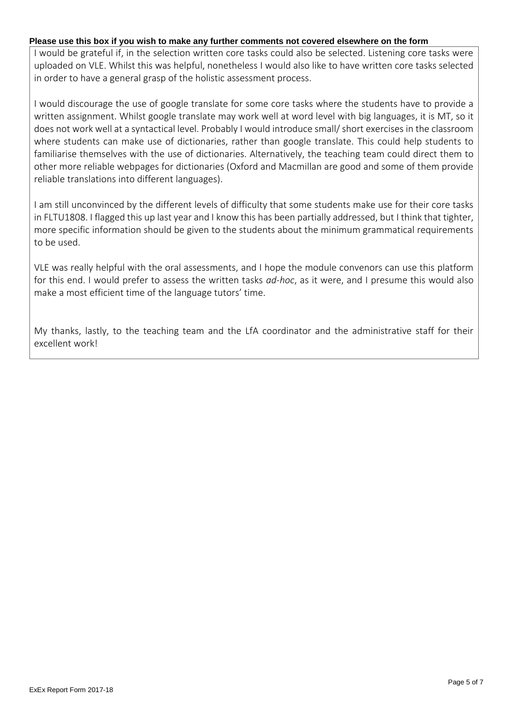# **Please use this box if you wish to make any further comments not covered elsewhere on the form**

I would be grateful if, in the selection written core tasks could also be selected. Listening core tasks were uploaded on VLE. Whilst this was helpful, nonetheless I would also like to have written core tasks selected in order to have a general grasp of the holistic assessment process.

I would discourage the use of google translate for some core tasks where the students have to provide a written assignment. Whilst google translate may work well at word level with big languages, it is MT, so it does not work well at a syntactical level. Probably I would introduce small/ short exercises in the classroom where students can make use of dictionaries, rather than google translate. This could help students to familiarise themselves with the use of dictionaries. Alternatively, the teaching team could direct them to other more reliable webpages for dictionaries (Oxford and Macmillan are good and some of them provide reliable translations into different languages).

I am still unconvinced by the different levels of difficulty that some students make use for their core tasks in FLTU1808. I flagged this up last year and I know this has been partially addressed, but I think that tighter, more specific information should be given to the students about the minimum grammatical requirements to be used.

VLE was really helpful with the oral assessments, and I hope the module convenors can use this platform for this end. I would prefer to assess the written tasks *ad-hoc*, as it were, and I presume this would also make a most efficient time of the language tutors' time.

My thanks, lastly, to the teaching team and the LfA coordinator and the administrative staff for their excellent work!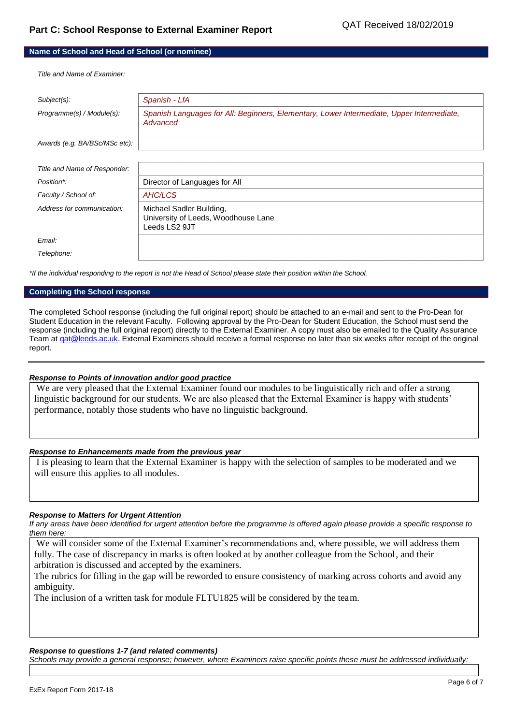# **Name of School and Head of School (or nominee)**

*Title and Name of Examiner:*

| Subject(s):                   | Spanish - LfA                                                                                         |
|-------------------------------|-------------------------------------------------------------------------------------------------------|
| Programme(s) / Module(s):     | Spanish Languages for All: Beginners, Elementary, Lower Intermediate, Upper Intermediate,<br>Advanced |
| Awards (e.g. BA/BSc/MSc etc): |                                                                                                       |
|                               |                                                                                                       |
| Title and Name of Responder:  |                                                                                                       |
| Position*:                    | Director of Languages for All                                                                         |
| Faculty / School of:          | AHC/LCS                                                                                               |
| Address for communication:    | Michael Sadler Building,<br>University of Leeds, Woodhouse Lane<br>Leeds LS2 9JT                      |
| Email:                        |                                                                                                       |
| Telephone:                    |                                                                                                       |

*\*If the individual responding to the report is not the Head of School please state their position within the School.*

#### **Completing the School response**

The completed School response (including the full original report) should be attached to an e-mail and sent to the Pro-Dean for Student Education in the relevant Faculty. Following approval by the Pro-Dean for Student Education, the School must send the response (including the full original report) directly to the External Examiner. A copy must also be emailed to the Quality Assurance Team at gat@leeds.ac.uk. External Examiners should receive a formal response no later than six weeks after receipt of the original report.

#### *Response to Points of innovation and/or good practice*

We are very pleased that the External Examiner found our modules to be linguistically rich and offer a strong linguistic background for our students. We are also pleased that the External Examiner is happy with students' performance, notably those students who have no linguistic background.

### *Response to Enhancements made from the previous year*

I is pleasing to learn that the External Examiner is happy with the selection of samples to be moderated and we will ensure this applies to all modules.

#### *Response to Matters for Urgent Attention*

*If any areas have been identified for urgent attention before the programme is offered again please provide a specific response to them here:*

We will consider some of the External Examiner's recommendations and, where possible, we will address them fully. The case of discrepancy in marks is often looked at by another colleague from the School, and their arbitration is discussed and accepted by the examiners.

The rubrics for filling in the gap will be reworded to ensure consistency of marking across cohorts and avoid any ambiguity.

The inclusion of a written task for module FLTU1825 will be considered by the team.

### *Response to questions 1-7 (and related comments)*

*Schools may provide a general response; however, where Examiners raise specific points these must be addressed individually:*